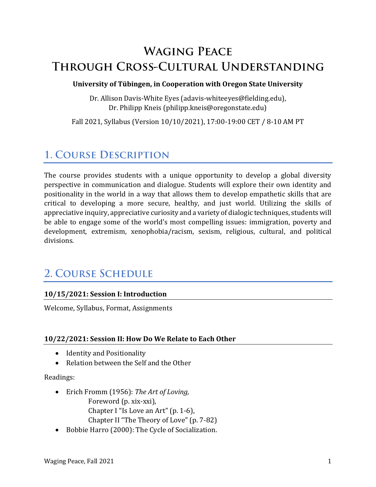# **WAGING PEACE** THROUGH CROSS-CULTURAL UNDERSTANDING

#### **University of Tübingen, in Cooperation with Oregon State University**

Dr. Allison Davis-White Eyes (adavis-whiteeyes@fielding.edu), Dr. Philipp Kneis (philipp.kneis@oregonstate.edu)

Fall 2021, Syllabus (Version 10/10/2021), 17:00-19:00 CET / 8-10 AM PT

## **1. COURSE DESCRIPTION**

The course provides students with a unique opportunity to develop a global diversity perspective in communication and dialogue. Students will explore their own identity and positionality in the world in a way that allows them to develop empathetic skills that are critical to developing a more secure, healthy, and just world. Utilizing the skills of appreciative inquiry, appreciative curiosity and a variety of dialogic techniques, students will be able to engage some of the world's most compelling issues: immigration, poverty and development, extremism, xenophobia/racism, sexism, religious, cultural, and political divisions.

## **2. COURSE SCHEDULE**

### **10/15/2021: Session I: Introduction**

Welcome, Syllabus, Format, Assignments

### **10/22/2021: Session II: How Do We Relate to Each Other**

- Identity and Positionality
- Relation between the Self and the Other

#### Readings:

- Erich Fromm (1956): *The Art of Loving,* Foreword (p. xix-xxi), Chapter I "Is Love an Art" (p. 1-6), Chapter II "The Theory of Love" (p. 7-82)
- Bobbie Harro (2000): The Cycle of Socialization.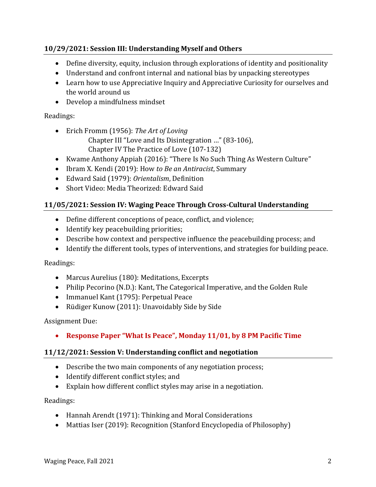### **10/29/2021: Session III: Understanding Myself and Others**

- Define diversity, equity, inclusion through explorations of identity and positionality
- Understand and confront internal and national bias by unpacking stereotypes
- Learn how to use Appreciative Inquiry and Appreciative Curiosity for ourselves and the world around us
- Develop a mindfulness mindset

## Readings:

- Erich Fromm (1956): *The Art of Loving* Chapter III "Love and Its Disintegration …" (83-106), Chapter IV The Practice of Love (107-132)
- Kwame Anthony Appiah (2016): "There Is No Such Thing As Western Culture"
- Ibram X. Kendi (2019): How *to Be an Antiracist*, Summary
- Edward Said (1979): *Orientalism*, Definition
- Short Video: Media Theorized: Edward Said

## **11/05/2021: Session IV: Waging Peace Through Cross-Cultural Understanding**

- Define different conceptions of peace, conflict, and violence;
- Identify key peacebuilding priorities;
- Describe how context and perspective influence the peacebuilding process; and
- Identify the different tools, types of interventions, and strategies for building peace.

Readings:

- Marcus Aurelius (180): Meditations, Excerpts
- Philip Pecorino (N.D.): Kant, The Categorical Imperative, and the Golden Rule
- Immanuel Kant (1795): Perpetual Peace
- Rüdiger Kunow (2011): Unavoidably Side by Side

### Assignment Due:

• **Response Paper "What Is Peace", Monday 11/01, by 8 PM Pacific Time**

### **11/12/2021: Session V: Understanding conflict and negotiation**

- Describe the two main components of any negotiation process;
- Identify different conflict styles; and
- Explain how different conflict styles may arise in a negotiation.

Readings:

- Hannah Arendt (1971): Thinking and Moral Considerations
- Mattias Iser (2019): Recognition (Stanford Encyclopedia of Philosophy)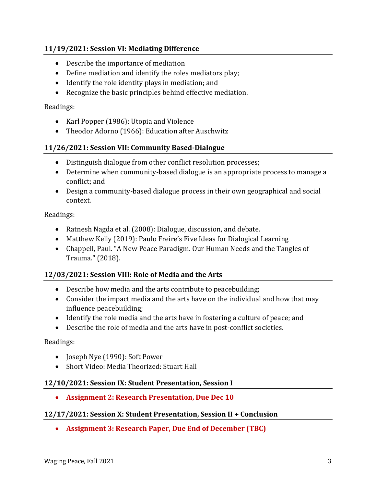### **11/19/2021: Session VI: Mediating Difference**

- Describe the importance of mediation
- Define mediation and identify the roles mediators play;
- Identify the role identity plays in mediation; and
- Recognize the basic principles behind effective mediation.

#### Readings:

- Karl Popper (1986): Utopia and Violence
- Theodor Adorno (1966): Education after Auschwitz

#### **11/26/2021: Session VII: Community Based-Dialogue**

- Distinguish dialogue from other conflict resolution processes;
- Determine when community-based dialogue is an appropriate process to manage a conflict; and
- Design a community-based dialogue process in their own geographical and social context.

Readings:

- Ratnesh Nagda et al. (2008): Dialogue, discussion, and debate.
- Matthew Kelly (2019): Paulo Freire's Five Ideas for Dialogical Learning
- Chappell, Paul. "A New Peace Paradigm. Our Human Needs and the Tangles of Trauma." (2018).

#### **12/03/2021: Session VIII: Role of Media and the Arts**

- Describe how media and the arts contribute to peacebuilding;
- Consider the impact media and the arts have on the individual and how that may influence peacebuilding;
- Identify the role media and the arts have in fostering a culture of peace; and
- Describe the role of media and the arts have in post-conflict societies.

Readings:

- Joseph Nye (1990): Soft Power
- Short Video: Media Theorized: Stuart Hall

#### **12/10/2021: Session IX: Student Presentation, Session I**

• **Assignment 2: Research Presentation, Due Dec 10**

#### **12/17/2021: Session X: Student Presentation, Session II + Conclusion**

• **Assignment 3: Research Paper, Due End of December (TBC)**